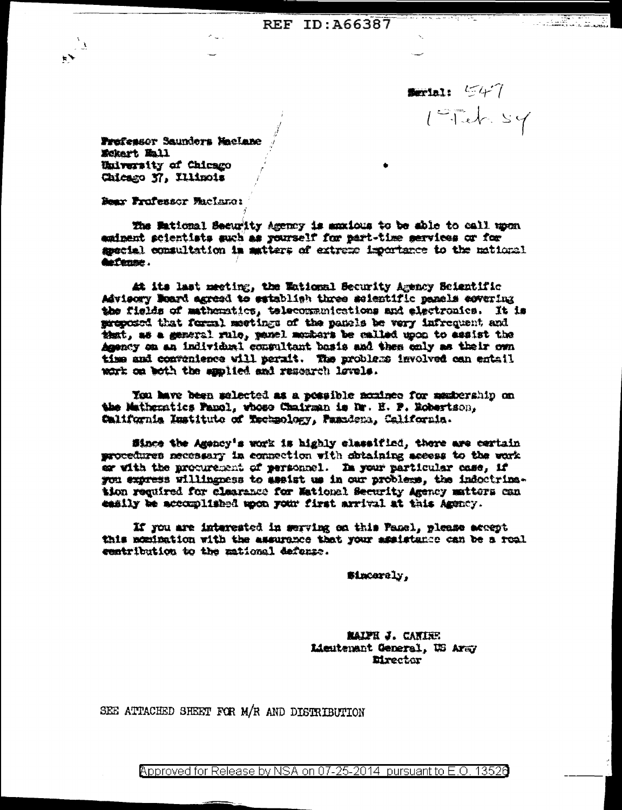$\blacksquare$  $1 - 726.54$ 

Prefessor Saunders MacLane Mokart Mall University of Chicago Chicago N', Illinois

Dear Professor Maclano:

The Mational Security Agency is anxious to be able to call upon eminent scientists such as yourself for part-time services or for special consultation in matters of extreme importance to the national **Autono** 

At its last meeting, the Wational Security Agency Scientific Advisory Weard agreed to satablish three scientific panels covering the fields of mathematics, telecommunications and electronics. It is preposed that formal meetings of the panels be very infrequent and that, as a general rule, panel mombers be called upon to assist the Agency on an individual commultant basis and them only as their own time and convenience will perait. The problems involved can entail work on both the applied and research levels.

You have been selected as a possible nominee for mastership on the Mathematics Pamol, whose Chairman is Nr. H. P. Robertson, California Imstitute of Rechnology, Pasadena, California.

Since the Agency's work is highly classified, there are certain procedures necessary in connection with chiaining access to the work er with the procurement of personnel. In your particular case, if you express willingness to assist us in our problems, the indoctrination required for clearance for Mational Security Agency matters can easily be accomplished upon your first arrival at this Agency.

If you are interested in serving on this Pasel, please accept this momination with the assurance that your assistance can be a roal centribution to the mational defense.

Sinceraly.

**MAIPH J. CANIEE** Lieutenant General, US Aray **Eirector** 

SEE ATTACHED SHEET FOR M/R AND DISTRIBUTION

<code>Approved</code> for Release by NSA on 07-25-2014  $\,$  pursuant to E.O. 1352 $0$